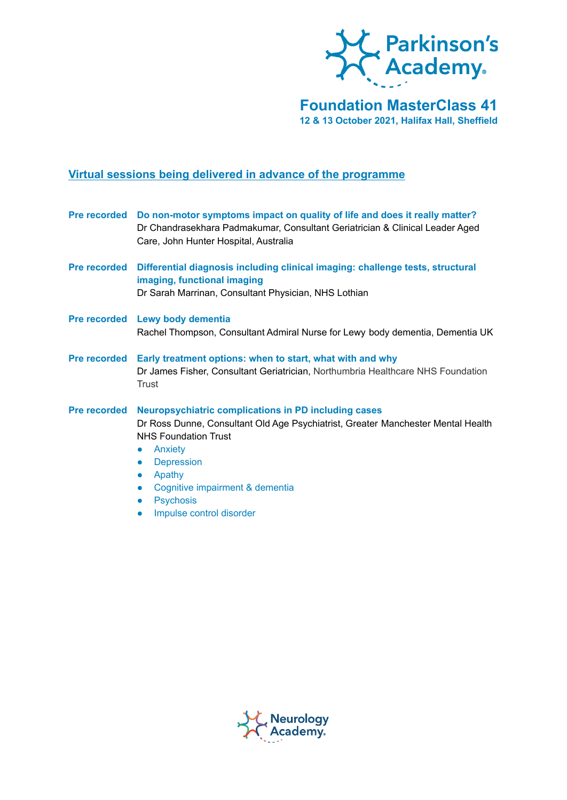

# **Foundation MasterClass 41 12 & 13 October 2021, Halifax Hall, Sheffield**

# **Virtual sessions being delivered in advance of the programme**

|                     | Pre recorded Do non-motor symptoms impact on quality of life and does it really matter?<br>Dr Chandrasekhara Padmakumar, Consultant Geriatrician & Clinical Leader Aged<br>Care, John Hunter Hospital, Australia                                                                                                                                                                          |
|---------------------|-------------------------------------------------------------------------------------------------------------------------------------------------------------------------------------------------------------------------------------------------------------------------------------------------------------------------------------------------------------------------------------------|
| <b>Pre recorded</b> | Differential diagnosis including clinical imaging: challenge tests, structural<br>imaging, functional imaging<br>Dr Sarah Marrinan, Consultant Physician, NHS Lothian                                                                                                                                                                                                                     |
|                     | Pre recorded Lewy body dementia<br>Rachel Thompson, Consultant Admiral Nurse for Lewy body dementia, Dementia UK                                                                                                                                                                                                                                                                          |
| <b>Pre recorded</b> | Early treatment options: when to start, what with and why<br>Dr James Fisher, Consultant Geriatrician, Northumbria Healthcare NHS Foundation<br><b>Trust</b>                                                                                                                                                                                                                              |
| <b>Pre recorded</b> | <b>Neuropsychiatric complications in PD including cases</b><br>Dr Ross Dunne, Consultant Old Age Psychiatrist, Greater Manchester Mental Health<br><b>NHS Foundation Trust</b><br>Anxiety<br>$\bullet$<br><b>Depression</b><br>$\bullet$<br>Apathy<br>$\bullet$<br>Cognitive impairment & dementia<br>$\bullet$<br><b>Psychosis</b><br>$\bullet$<br>Impulse control disorder<br>$\bullet$ |

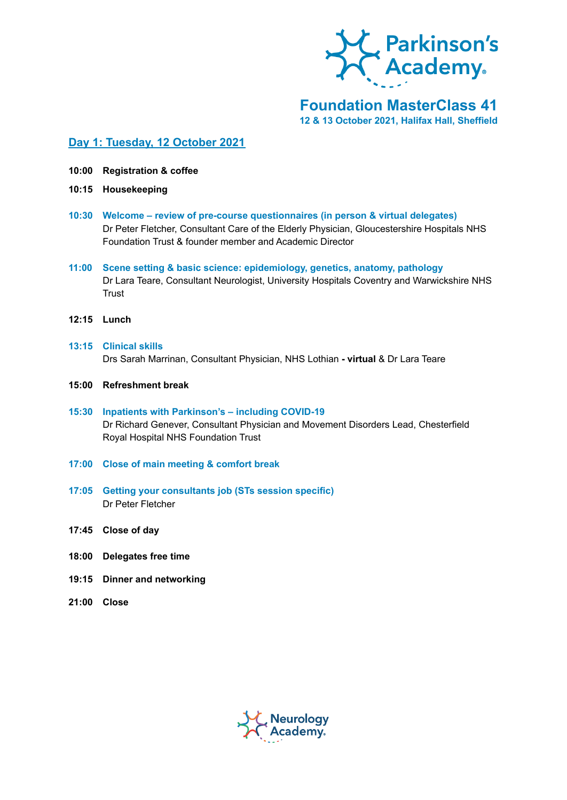

### **Foundation MasterClass 41 12 & 13 October 2021, Halifax Hall, Sheffield**

### **Day 1: Tuesday, 12 October 2021**

- **10:00 Registration & coffee**
- **10:15 Housekeeping**
- **10:30 Welcome – review of pre-course questionnaires (in person & virtual delegates)** Dr Peter Fletcher, Consultant Care of the Elderly Physician, Gloucestershire Hospitals NHS Foundation Trust & founder member and Academic Director
- **11:00 Scene setting & basic science: epidemiology, genetics, anatomy, pathology** Dr Lara Teare, Consultant Neurologist, University Hospitals Coventry and Warwickshire NHS **Trust**
- **12:15 Lunch**
- **13:15 Clinical skills** Drs Sarah Marrinan, Consultant Physician, NHS Lothian **- virtual** & Dr Lara Teare
- **15:00 Refreshment break**
- **15:30 Inpatients with Parkinson's – including COVID-19** Dr Richard Genever, Consultant Physician and Movement Disorders Lead, Chesterfield Royal Hospital NHS Foundation Trust
- **17:00 Close of main meeting & comfort break**
- **17:05 Getting your consultants job (STs session specific)** Dr Peter Fletcher
- **17:45 Close of day**
- **18:00 Delegates free time**
- **19:15 Dinner and networking**
- **21:00 Close**